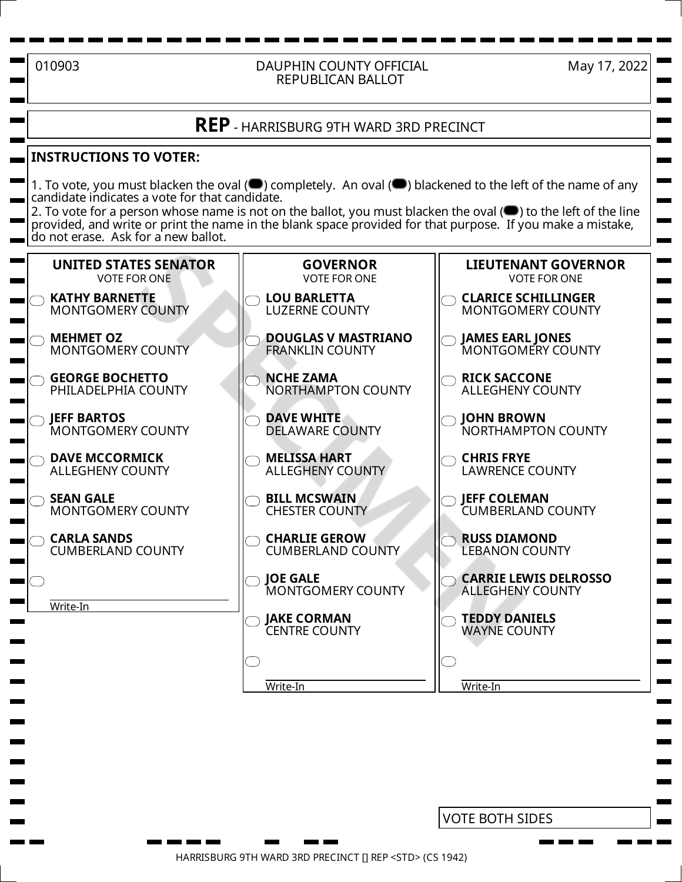## 010903 DAUPHIN COUNTY OFFICIAL REPUBLICAN BALLOT

May 17, 2022

## **REP** - HARRISBURG 9TH WARD 3RD PRECINCT

## **INSTRUCTIONS TO VOTER:**

1. To vote, you must blacken the oval (●) completely. An oval (●) blackened to the left of the name of any candidate indicates a vote for that candidate.

2. To vote for a person whose name is not on the ballot, you must blacken the oval  $(\bullet)$  to the left of the line provided, and write or print the name in the blank space provided for that purpose. If you make a mistake, do not erase. Ask for a new ballot.



VOTE BOTH SIDES